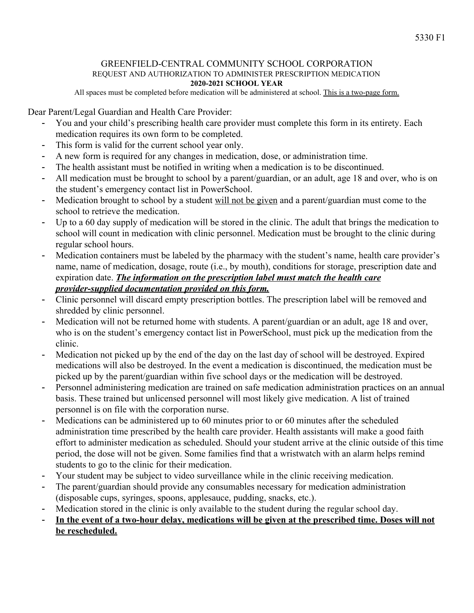## GREENFIELD-CENTRAL COMMUNITY SCHOOL CORPORATION REQUEST AND AUTHORIZATION TO ADMINISTER PRESCRIPTION MEDICATION **2020-2021 SCHOOL YEAR**

All spaces must be completed before medication will be administered at school. This is a two-page form.

Dear Parent/Legal Guardian and Health Care Provider:

- You and your child's prescribing health care provider must complete this form in its entirety. Each medication requires its own form to be completed.
- This form is valid for the current school year only.
- A new form is required for any changes in medication, dose, or administration time.
- The health assistant must be notified in writing when a medication is to be discontinued.
- All medication must be brought to school by a parent/guardian, or an adult, age 18 and over, who is on the student's emergency contact list in PowerSchool.
- Medication brought to school by a student will not be given and a parent/guardian must come to the school to retrieve the medication.
- Up to a 60 day supply of medication will be stored in the clinic. The adult that brings the medication to school will count in medication with clinic personnel. Medication must be brought to the clinic during regular school hours.
- Medication containers must be labeled by the pharmacy with the student's name, health care provider's name, name of medication, dosage, route (i.e., by mouth), conditions for storage, prescription date and expiration date. *The information on the prescription label must match the health care provider-supplied documentation provided on this form.*
- Clinic personnel will discard empty prescription bottles. The prescription label will be removed and shredded by clinic personnel.
- Medication will not be returned home with students. A parent/guardian or an adult, age 18 and over, who is on the student's emergency contact list in PowerSchool, must pick up the medication from the clinic.
- Medication not picked up by the end of the day on the last day of school will be destroyed. Expired medications will also be destroyed. In the event a medication is discontinued, the medication must be picked up by the parent/guardian within five school days or the medication will be destroyed.
- Personnel administering medication are trained on safe medication administration practices on an annual basis. These trained but unlicensed personnel will most likely give medication. A list of trained personnel is on file with the corporation nurse.
- Medications can be administered up to 60 minutes prior to or 60 minutes after the scheduled administration time prescribed by the health care provider. Health assistants will make a good faith effort to administer medication as scheduled. Should your student arrive at the clinic outside of this time period, the dose will not be given. Some families find that a wristwatch with an alarm helps remind students to go to the clinic for their medication.
- Your student may be subject to video surveillance while in the clinic receiving medication.
- The parent/guardian should provide any consumables necessary for medication administration (disposable cups, syringes, spoons, applesauce, pudding, snacks, etc.).
- Medication stored in the clinic is only available to the student during the regular school day.
- **In the event of a two-hour delay, medications will be given at the prescribed time. Doses will not be rescheduled.**